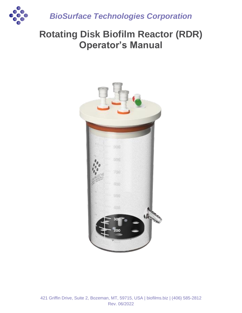

*BioSurface Technologies Corporation*

# **Rotating Disk Biofilm Reactor (RDR) Operator's Manual**

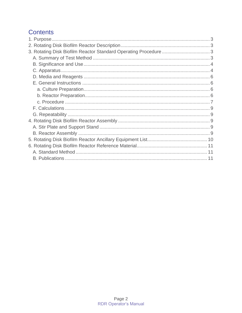# **Contents**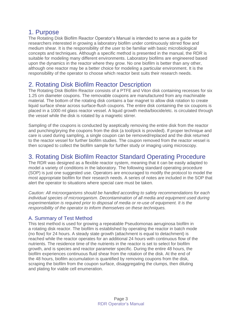# <span id="page-2-0"></span>1. Purpose

The Rotating Disk Biofilm Reactor Operator's Manual is intended to serve as a guide for researchers interested in growing a laboratory biofilm under continuously stirred flow and medium shear. It is the responsibility of the user to be familiar with basic microbiological concepts and techniques. Although a specific method is presented in the manual, the RDR is suitable for modeling many different environments. Laboratory biofilms are engineered based upon the dynamics in the reactor where they grow. No one biofilm is better than any other, although one reactor may be a better choice for modeling a particular environment. It is the responsibility of the operator to choose which reactor best suits their research needs.

# <span id="page-2-1"></span>2. Rotating Disk Biofilm Reactor Description

The Rotating Disk Biofilm Reactor consists of a PTFE and Viton disk containing recesses for six 1.25 cm diameter coupons. The removable coupons are manufactured from any machinable material. The bottom of the rotating disk contains a bar magnet to allow disk rotation to create liquid surface shear across surface-flush coupons. The entire disk containing the six coupons is placed in a 1000 ml glass reactor vessel. A liquid growth media/biocide/etc. is circulated through the vessel while the disk is rotated by a magnetic stirrer.

Sampling of the coupons is conducted by aseptically removing the entire disk from the reactor and punching/prying the coupons from the disk (a tool/pick is provided). If proper technique and care is used during sampling, a single coupon can be removed/replaced and the disk returned to the reactor vessel for further biofilm studies. The coupon removed from the reactor vessel is then scraped to collect the biofilm sample for further study or imaging using microscopy.

# <span id="page-2-2"></span>3. Rotating Disk Biofilm Reactor Standard Operating Procedure

The RDR was designed as a flexible reactor system, meaning that it can be easily adapted to model a variety of conditions in the laboratory. The following standard operating procedure (SOP) is just one suggested use. Operators are encouraged to modify the protocol to model the most appropriate biofilm for their research needs. A series of notes are included in the SOP that alert the operator to situations where special care must be taken.

*Caution: All microorganisms should be handled according to safety recommendations for each individual species of microorganism. Decontamination of all media and equipment used during experimentation is required prior to disposal of media or re-use of equipment. It is the responsibility of the operator to inform themselves on these techniques.* 

# <span id="page-2-3"></span>A. Summary of Test Method

This test method is used for growing a repeatable Pseudomonas aeruginosa biofilm in a rotating disk reactor. The biofilm is established by operating the reactor in batch mode (no flow) for 24 hours. A steady state growth (attachment is equal to detachment) is reached while the reactor operates for an additional 24 hours with continuous flow of the nutrients. The residence time of the nutrients in the reactor is set to select for biofilm growth, and is species and reactor parameter specific. During the entire 48 hours, the biofilm experiences continuous fluid shear from the rotation of the disk. At the end of the 48 hours, biofilm accumulation is quantified by removing coupons from the disk, scraping the biofilm from the coupon surface, disaggregating the clumps, then diluting and plating for viable cell enumeration.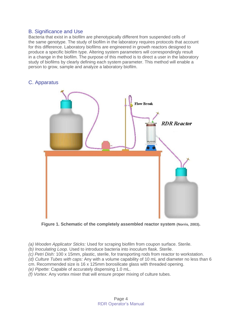### <span id="page-3-0"></span>B. Significance and Use

Bacteria that exist in a biofilm are phenotypically different from suspended cells of the same genotype. The study of biofilm in the laboratory requires protocols that account for this difference. Laboratory biofilms are engineered in growth reactors designed to produce a specific biofilm type. Altering system parameters will correspondingly result in a change in the biofilm. The purpose of this method is to direct a user in the laboratory study of biofilms by clearly defining each system parameter. This method will enable a person to grow, sample and analyze a laboratory biofilm.



## <span id="page-3-1"></span>C. Apparatus

**Figure 1. Schematic of the completely assembled reactor system (Norris, 2003).**

*(a) Wooden Applicator Sticks:* Used for scraping biofilm from coupon surface. Sterile.

*(b) Inoculating Loop.* Used to introduce bacteria into inoculum flask. Sterile.

*(c) Petri Dish:* 100 x 15mm, plastic, sterile, for transporting rods from reactor to workstation.

*(d) Culture Tubes with caps:* Any with a volume capability of 10 mL and diameter no less than 6

cm. Recommended size is 16 x 125mm borosilicate glass with threaded opening.

*(e) Pipette:* Capable of accurately dispensing 1.0 mL.

*(f) Vortex:* Any vortex mixer that will ensure proper mixing of culture tubes.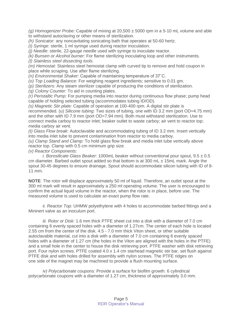*(g) Homogenizer Probe:* Capable of mixing at 20,500 ± 5000 rpm in a 5-10 mL volume and able to withstand autoclaving or other means of sterilization.

*(h) Sonicator:* any noncavitating sonicating bath that operates at 50-60 hertz.

*(i) Syringe:* sterile, 1 ml syringe used during reactor inoculation.

*(j) Needle*: sterile, 22-gauge needle used with syringe to inoculate reactor.

*(k) Bunsen or Alcohol burner:* For flame sterilizing inoculating loop and other instruments.

*(l) Stainless steel dissecting tools*.

*(m) Hemostat:* Stainless steel hemostat clamp with curved tip to remove and hold coupon in place while scraping. Use after flame sterilizing.

*(n) Environmental Shaker:* Capable of maintaining temperature of 37˚C.

*(o) Top Loading Balance:* For weighing reagent ingredients; sensitive to 0.01 gm.

*(p) Sterilizers:* Any steam sterilizer capable of producing the conditions of sterilization.

*(q) Colony Counter:* To aid in counting plates.

*(r) Peristaltic Pump:* For pumping media into reactor during continuous flow phase; pump head capable of holding selected tubing (accommodates tubing ID/OD).

*(s) Magnetic Stir plate:* Capable of operation at 100-400 rpm. A digital stir plate is recommended. (u) *Silicone tubing:* Two sizes of tubing, one with ID 3.2 mm (port OD=4.75 mm) and the other with ID 7.9 mm (port OD=7.94 mm). Both must withstand sterilization. Use to connect media carboy to reactor inlet; beaker outlet to waste carboy; air vent to reactor top; media carboy air vent.

*(t) Glass Flow break:* Autoclavable and accommodating tubing of ID 3.2 mm. Insert vertically into media inlet tube to prevent contamination from reactor to media carboy.

*(u) Clamp Stand and Clamp:* To hold glass flow break and media inlet tube vertically above reactor top. Clamp with 0.5 cm minimum grip size.

*(v) Reactor Components:*

*i. Borosilicate Glass Beaker:* 1000mL beaker without conventional pour spout, 9.5 ± 0.5 cm diameter. Barbed outlet spout added so that bottom is at 300 mL  $\pm$  15mL mark. Angle the spout 30-45 degrees to ensure drainage. Spout should accommodate silicon tubing with ID of 8- 11 mm.

**NOTE**: The rotor will displace approximately 50 ml of liquid. Therefore, an outlet spout at the 300 ml mark will result in approximately a 250 ml operating volume. The user is encouraged to confirm the actual liquid volume in the reactor, when the rotor is in place, before use. The measured volume is used to calculate an exact pump flow rate.

*ii. Reactor Top:* UHMW polyethylene with 4 holes to accommodate barbed fittings and a Mininert valve as an inoculum port.

*iii. Rotor or Disk:* 1.6 mm thick PTFE sheet cut into a disk with a diameter of 7.0 cm containing 6 evenly spaced holes with a diameter of 1.27cm. The center of each hole is located 2.55 cm from the center of the disk. 4.5 - 7.0 mm thick Viton sheet, or other suitable autoclavable material, cut into a disk with a diameter of 7.0 cm containing 6 evenly spaced holes with a diameter of 1.27 cm (the holes in the Viton are aligned with the holes in the PTFE) and a small hole in the center to house the disk retrieving port. PTFE washer with disk retrieving port. Four nylon screws. PTFE coated 4.0 x 1.4 cm starhead magnetic stir bar, set flush against PTFE disk and with holes drilled for assembly with nylon screws. The PTFE ridges on one side of the magnet may be machined to provide a flush mounting surface.

*iv) Polycarbonate coupons:* Provide a surface for biofilm growth*.* 6 cylindrical polycarbonate coupons with a diameter of 1.27 cm, thickness of approximately 3.0 mm.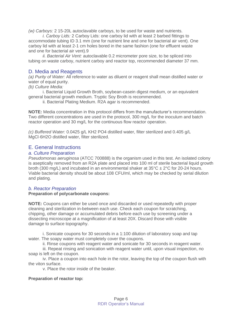*(w) Carboys:* 2 15-20L autoclavable carboys, to be used for waste and nutrients.

*i. Carboy Lids:* 2 Carboy Lids: one carboy lid with at least 2 barbed fittings to accommodate tubing ID 3.1 mm (one for nutrient line and one for bacterial air vent). One carboy lid with at least 2-1 cm holes bored in the same fashion (one for effluent waste and one for bacterial air vent).9

*ii. Bacterial Air Vent:* autoclavable 0.2 micrometer pore size, to be spliced into tubing on waste carboy, nutrient carboy and reactor top, recommended diameter 37 mm.

### <span id="page-5-0"></span>D. Media and Reagents

*(a) Purity of Water:* All reference to water as diluent or reagent shall mean distilled water or water of equal purity.

*(b) Culture Media:*

i. Bacterial Liquid Growth Broth, soybean-casein digest medium, or an equivalent general bacterial growth medium. Tryptic Soy Broth is recommended.

ii. Bacterial Plating Medium. R2A agar is recommended.

**NOTE:** Media concentration in this protocol differs from the manufacturer's recommendation. Two different concentrations are used in the protocol, 300 mg/L for the inoculum and batch reactor operation and 30 mg/L for the continuous flow reactor operation.

*(c) Buffered Water:* 0.0425 g/L KH2 PO4 distilled water, filter sterilized and 0.405 g/L MgCl·6H2O distilled water, filter sterilized.

### <span id="page-5-1"></span>E. General Instructions

#### <span id="page-5-2"></span>*a. Culture Preparation*

*Pseudomonas aeruginosa* (ATCC 700888) is the organism used in this test. An isolated colony is aseptically removed from an R2A plate and placed into 100 ml of sterile bacterial liquid growth broth (300 mg/L) and incubated in an environmental shaker at  $35^{\circ}$ C  $\pm$  2°C for 20-24 hours. Viable bacterial density should be about 108 CFU/ml, which may be checked by serial dilution and plating.

#### <span id="page-5-3"></span>*b. Reactor Preparation*

#### **Preparation of polycarbonate coupons:**

**NOTE:** Coupons can either be used once and discarded or used repeatedly with proper cleaning and sterilization in-between each use. Check each coupon for scratching, chipping, other damage or accumulated debris before each use by screening under a dissecting microscope at a magnification of at least 20X. Discard those with visible damage to surface topography.

i. Sonicate coupons for 30 seconds in a 1:100 dilution of laboratory soap and tap water. The soapy water must completely cover the coupons.

ii. Rinse coupons with reagent water and sonicate for 30 seconds in reagent water.

iii. Repeat rinsing and sonication with reagent water until, upon visual inspection, no soap is left on the coupon.

iv. Place a coupon into each hole in the rotor, leaving the top of the coupon flush with the viton surface.

v. Place the rotor inside of the beaker.

#### **Preparation of reactor top:**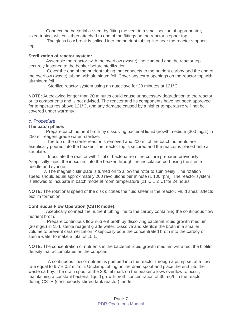i. Connect the bacterial air vent by fitting the vent to a small section of appropriately sized tubing, which is then attached to one of the fittings on the reactor stopper top.

ii. The glass flow break is spliced into the nutrient tubing line near the reactor stopper top.

#### **Sterilization of reactor system:**

i. Assemble the reactor, with the overflow (waste) line clamped and the reactor top securely fastened to the beaker before sterilization.

ii. Cover the end of the nutrient tubing that connects to the nutrient carboy and the end of the overflow (waste) tubing with aluminum foil. Cover any extra openings on the reactor top with aluminum foil.

iii. Sterilize reactor system using an autoclave for 20 minutes at 121°C.

**NOTE:** Autoclaving longer than 20 minutes could cause unnecessary degradation to the reactor or its components and is not advised. The reactor and its components have not been approved for temperatures above 121°C, and any damage caused by a higher temperature will not be covered under warranty.

#### <span id="page-6-0"></span>*c. Procedure*

#### **The batch phase:**

i. Prepare batch nutrient broth by dissolving bacterial liquid growth medium (300 mg/L) in 250 ml reagent grade water, sterilize.

ii. The top of the sterile reactor is removed and 200 ml of the batch nutrients are aseptically poured into the beaker. The reactor top is secured and the reactor is placed onto a stir plate.

iii. Inoculate the reactor with 1 ml of bacteria from the culture prepared previously. Aseptically inject the inoculum into the beaker through the inoculation port using the sterile needle and syringe.

iv. The magnetic stir plate is turned on to allow the rotor to spin freely. The rotation speed should equal approximately 200 revolutions per minute  $(\pm 100 \text{ rpm})$ . The reactor system is allowed to incubate in batch mode at room temperature ( $21^{\circ}C \pm 2^{\circ}C$ ) for 24 hours.

**NOTE:** The rotational speed of the disk dictates the fluid shear in the reactor. Fluid shear affects biofilm formation.

#### **Continuous Flow Operation (CSTR mode):**

i. Aseptically connect the nutrient tubing line to the carboy containing the continuous flow nutrient broth.

ii. Prepare continuous flow nutrient broth by dissolving bacterial liquid growth medium (30 mg/L) in 15 L sterile reagent grade water. Dissolve and sterilize the broth in a smaller volume to prevent caramelization. Aseptically pour the concentrated broth into the carboy of sterile water to make a total of 15 L.

**NOTE:** The concentration of nutrients in the bacterial liquid growth medium will affect the biofilm density that accumulates on the coupons.

iii. A continuous flow of nutrient is pumped into the reactor through a pump set at a flow rate equal to  $6.7 \pm 0.2$  m/min. Unclamp tubing on the drain spout and place the end into the waste carboy. The drain spout at the 300 ml mark on the beaker allows overflow to occur, maintaining a constant bacterial liquid growth broth concentration of 30 mg/L in the reactor during CSTR (continuously stirred tank reactor) mode.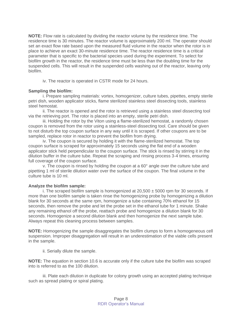**NOTE:** Flow rate is calculated by dividing the reactor volume by the residence time. The residence time is 30 minutes. The reactor volume is approximately 200 ml. The operator should set an exact flow rate based upon the measured fluid volume in the reactor when the rotor is in place to achieve an exact 30-minute residence time. The reactor residence time is a critical parameter that is specific to the bacterial species used during the experiment. To select for biofilm growth in the reactor, the residence time must be less than the doubling time for the suspended cells. This will result in the suspended cells washing out of the reactor, leaving only biofilm.

iv. The reactor is operated in CSTR mode for 24 hours.

#### **Sampling the biofilm:**

i. Prepare sampling materials: vortex, homogenizer, culture tubes, pipettes, empty sterile petri dish, wooden applicator sticks, flame sterilized stainless steel dissecting tools, stainless steel hemostat.

ii. The reactor is opened and the rotor is retrieved using a stainless steel dissecting tool via the retrieving port. The rotor is placed into an empty, sterile petri dish.

iii. Holding the rotor by the Viton using a flame-sterilized hemostat, a randomly chosen coupon is removed from the rotor using a stainless-steel dissecting tool. Care should be given to not disturb the top coupon surface in any way until it is scraped. If other coupons are to be sampled, replace rotor in reactor to prevent the biofilm from drying.

iv. The coupon is secured by holding it with the flame-sterilized hemostat. The top coupon surface is scraped for approximately 15 seconds using the flat end of a wooden applicator stick held perpendicular to the coupon surface. The stick is rinsed by stirring it in the dilution buffer in the culture tube. Repeat the scraping and rinsing process 3-4 times, ensuring full coverage of the coupon surface.

v. The coupon is rinsed by holding the coupon at a  $60^\circ$  angle over the culture tube and pipetting 1 ml of sterile dilution water over the surface of the coupon. The final volume in the culture tube is 10 ml.

#### **Analyze the biofilm sample:**

i. The scraped biofilm sample is homogenized at  $20,500 \pm 5000$  rpm for 30 seconds. If more than one biofilm sample is taken rinse the homogenizing probe by homogenizing a dilution blank for 30 seconds at the same rpm, homogenize a tube containing 70% ethanol for 15 seconds, then remove the probe and let the probe set in the ethanol tube for 1 minute. Shake any remaining ethanol off the probe, reattach probe and homogenize a dilution blank for 30 seconds. Homogenize a second dilution blank and then homogenize the next sample tube. Always repeat this cleaning process between samples.

**NOTE:** Homogenizing the sample disaggregates the biofilm clumps to form a homogeneous cell suspension. Improper disaggregation will result in an underestimation of the viable cells present in the sample.

ii. Serially dilute the sample.

**NOTE:** The equation in section 10.6 is accurate only if the culture tube the biofilm was scraped into is referred to as the 100 dilution.

iii. Plate each dilution in duplicate for colony growth using an accepted plating technique such as spread plating or spiral plating.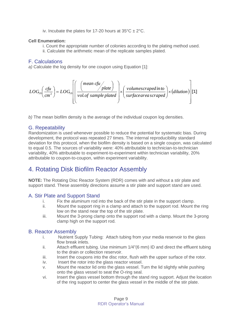iv. Incubate the plates for 17-20 hours at  $35^{\circ}$ C  $\pm$  2 $^{\circ}$ C.

#### **Cell Enumeration:**

i. Count the appropriate number of colonies according to the plating method used.

ii. Calculate the arithmetic mean of the replicate samples plated.

# <span id="page-8-0"></span>F. Calculations

*a)* Calculate the log density for one coupon using Equation [1]:

$$
LOG_{10}\left(\frac{c\hbar u}{cm^2}\right) = LOG_{10}\left[\left(\frac{mean\ c\hbar u}{vol.\ of\ sample\ plate}\right) \times \left(\frac{volume\ corresponding\ point\ to}{surface\ area\ scaled}\right) \times (dilution)\right]
$$
 [1]

*b)* The mean biofilm density is the average of the individual coupon log densities.

# <span id="page-8-1"></span>G. Repeatability

Randomization is used whenever possible to reduce the potential for systematic bias. During development, the protocol was repeated 27 times. The internal reproducibility standard deviation for this protocol, when the biofilm density is based on a single coupon, was calculated to equal 0.5. The sources of variability were: 40% attributable to technician-to-technician variability, 40% attributable to experiment-to-experiment within technician variability, 20% attributable to coupon-to-coupon, within experiment variability.

# <span id="page-8-2"></span>4. Rotating Disk Biofilm Reactor Assembly

**NOTE:** The Rotating Disc Reactor System (RDR) comes with and without a stir plate and support stand. These assembly directions assume a stir plate and support stand are used.

## <span id="page-8-3"></span>A. Stir Plate and Support Stand

- i. Fix the aluminum rod into the back of the stir plate in the support clamp.
- ii. Mount the support ring in a clamp and attach to the support rod. Mount the ring low on the stand near the top of the stir plate.
- iii. Mount the 3-prong clamp onto the support rod with a clamp. Mount the 3-prong clamp high on the support rod.

## <span id="page-8-4"></span>B. Reactor Assembly

- i. Nutrient Supply Tubing: Attach tubing from your media reservoir to the glass flow break inlets.
- ii. Attach effluent tubing. Use minimum 1/4"(6 mm) ID and direct the effluent tubing to the drain or collection reservoir.
- iii. Insert the coupons into the disc rotor, flush with the upper surface of the rotor.
- iv. Insert the rotor into the glass reactor vessel.
- v. Mount the reactor lid onto the glass vessel. Turn the lid slightly while pushing onto the glass vessel to seat the O-ring seal.
- vi. Insert the glass vessel bottom through the stand ring support. Adjust the location of the ring support to center the glass vessel in the middle of the stir plate.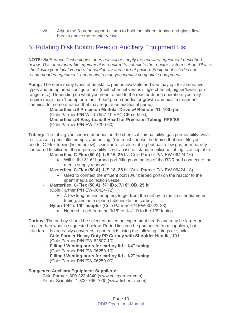vii. Adjust the 3-prong support clamp to hold the influent tubing and glass flow breaks above the reactor vessel.

# <span id="page-9-0"></span>5. Rotating Disk Biofilm Reactor Ancillary Equipment List

**NOTE:** *BioSurface Technologies does not sell or supply the ancillary equipment described below. This or comparable equipment is required to complete the reactor system set-up. Please check with your local vendors for availability and current pricing. Equipment listed is not recommended equipment, but an aid to help you identify compatible equipment.*

**Pump:** There are many types of peristaltic pumps available and you may opt for alternative types and pump head configurations (multi-channel versus single channel, higher/lower rpm range, etc.). Depending on what you need to add to the reactor during operation, you may require more than 1 pump or a multi-head pump (media for growth and biofilm treatment chemical for some duration that may require an additional pump).

- **Masterflex L/S Precision Modular Drive w/ Remote I/O; 100 rpm** (Cole Parmer P/N WU-07557-10 VAC CE certified)
- **Masterflex L/S Easy-Load II Head for Precision Tubing, PPS/SS** (Cole Parmer P/N EW-77200-60)

**Tubing:** The tubing you choose depends on the chemical compatibility, gas permeability, wear resistance in peristaltic pumps, and pricing. You must choose the tubing that best fits your needs. C-Flex tubing (listed below) is similar to silicone tubing but has a low gas-permeability compared to silicone. If gas-permeability is not an issue, standard silicone tubing is acceptable.

- **Masterflex, C-Flex (50 A), L/S 16, 25 ft.** (Cole Parmer P/N EW-06424-16)
	- Will fit the 3/16" barbed port fittings on the top of the RDR and connect to the media supply reservoir.
- **Masterflex, C-Flex (50 A), L/S 18, 25 ft. (Cole Parmer P/N EW-06424-18)** 
	- Used to connect the effluent port (3/8" barbed port) on the reactor to the spent media collection vessel.
- **Masterflex, C-Flex (50 A), ¼" ID x 7/16" OD, 25 ft** (Cole Parmer P/N EW-06424-72)
	- A few lengths and adapters to get from the carboy to the smaller diameter tubing, and as a siphon tube inside the carboy.
- **Nylon 1/4" x 1/8" adapter** (Cole Parmer P/N EW-30622-28)
	- Needed to get from the 3/16" or 1/4" ID to the 1/8" tubing.

**Carboy:** The carboy should be selected based on experiment needs and may be larger or smaller than what is suggested below. Ported lids can be purchased from suppliers, but standard lids are easily converted to ported lids using the following fittings or similar.

- **Cole-Parmer Heavy-Duty PP Carboy with Shoulder Handle, 10 L** (Cole Parmer P/N EW-62507-10)
- **Filling / Venting ports for carboy lid - 1/4" tubing** (Cole Parmer P/N EW-06259-10)
- **Filling / Venting ports for carboy lid - 1/2" tubing**  (Cole Parmer P/N EW-06259-00)

### **Suggested Ancillary Equipment Suppliers:**

Cole Parmer: 800-323-4340 (www.coleparmer.com) Fisher Scientific: 1 800-766-7000 (www.fishersci.com)